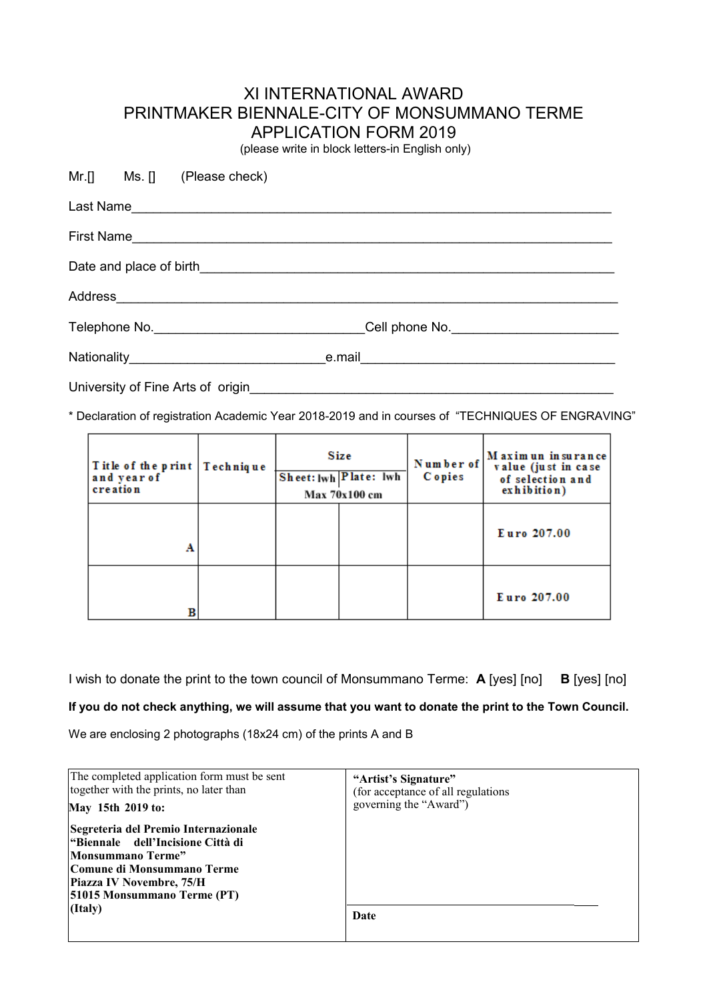## XI INTERNATIONAL AWARD PRINTMAKER BIENNALE-CITY OF MONSUMMANO TERME APPLICATION FORM 2019

(please write in block letters-in English only)

|                                   |  | Mr.[] Ms. [] (Please check)                                                      |  |  |  |
|-----------------------------------|--|----------------------------------------------------------------------------------|--|--|--|
|                                   |  |                                                                                  |  |  |  |
|                                   |  |                                                                                  |  |  |  |
|                                   |  |                                                                                  |  |  |  |
|                                   |  |                                                                                  |  |  |  |
|                                   |  | Telephone No. __________________________________Cell phone No. _________________ |  |  |  |
|                                   |  |                                                                                  |  |  |  |
| University of Fine Arts of origin |  |                                                                                  |  |  |  |

\* Declaration of registration Academic Year 2018-2019 and in courses of "TECHNIQUES OF ENGRAVING"

| Title of the print   Technique<br>and year of<br>creation | Size<br>Sheet: lwh Plate: lwh<br>Max 70x100 cm |  | Number of<br><b>C</b> opies | Maximun insurance<br>value (just in case<br>of selection and<br>exhibition) |
|-----------------------------------------------------------|------------------------------------------------|--|-----------------------------|-----------------------------------------------------------------------------|
| A                                                         |                                                |  |                             | Euro 207.00                                                                 |
|                                                           |                                                |  |                             | Euro 207.00                                                                 |

I wish to donate the print to the town council of Monsummano Terme: **A** [yes] [no] **B** [yes] [no]

**If you do not check anything, we will assume that you want to donate the print to the Town Council.**

We are enclosing 2 photographs (18x24 cm) of the prints A and B

| The completed application form must be sent                                                                                                                                                                 | "Artist's Signature"               |
|-------------------------------------------------------------------------------------------------------------------------------------------------------------------------------------------------------------|------------------------------------|
| together with the prints, no later than                                                                                                                                                                     | (for acceptance of all regulations |
| May 15th 2019 to:                                                                                                                                                                                           | governing the "Award")             |
| Segreteria del Premio Internazionale<br> "Biennale dell'Incisione Città di<br>Monsummano Terme"<br>Comune di Monsummano Terme<br><b>Piazza IV Novembre, 75/H</b><br>[51015 Monsummano Terme (PT)<br>(Italy) | Date                               |